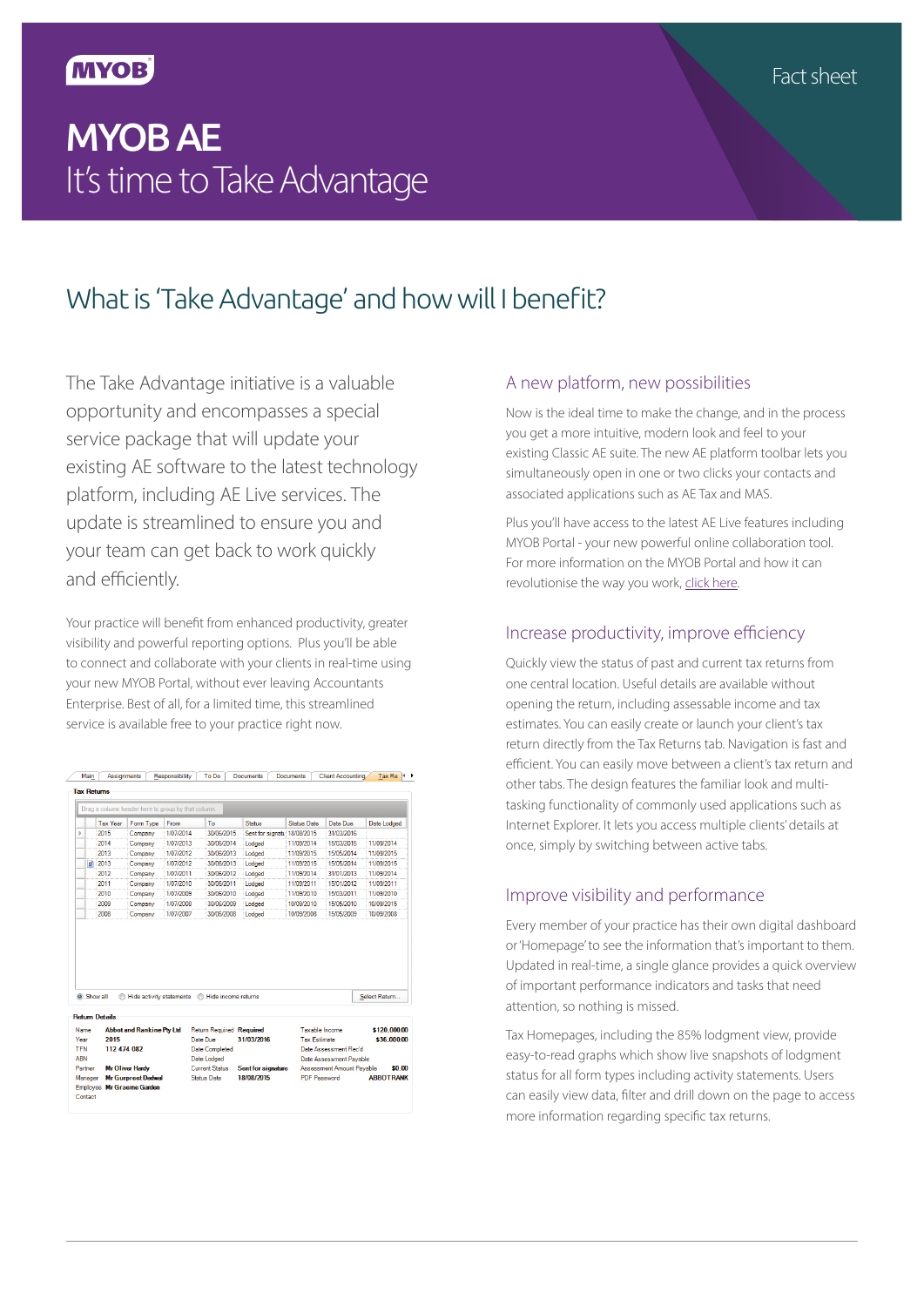### **MYOB**

# MYOB AE It's time to Take Advantage

## What is 'Take Advantage' and how will I benefit?

The Take Advantage initiative is a valuable opportunity and encompasses a special service package that will update your existing AE software to the latest technology platform, including AE Live services. The update is streamlined to ensure you and your team can get back to work quickly and efficiently.

Your practice will benefit from enhanced productivity, greater visibility and powerful reporting options. Plus you'll be able to connect and collaborate with your clients in real-time using your new MYOB Portal, without ever leaving Accountants Enterprise. Best of all, for a limited time, this streamlined service is available free to your practice right now.

Main Assignments Responsibility To Do Documents Documents Client Accounting Tax Re 1

|            | <b>Tax Year</b>       | Form Type                                                     | From      | To                              | Status                      | <b>Status Date</b>  | Date Due                  | Date Lodged      |  |
|------------|-----------------------|---------------------------------------------------------------|-----------|---------------------------------|-----------------------------|---------------------|---------------------------|------------------|--|
|            | 2015                  | Company                                                       | 1/07/2014 | 30/06/2015                      | Sent for signatu 18/08/2015 |                     | 31/03/2016                |                  |  |
|            | 2014                  | Company                                                       | 1/07/2013 | 30/06/2014                      | Lodged                      | 11/09/2014          | 15/03/2015                | 11/09/2014       |  |
|            | 2013                  | Company                                                       | 1/07/2012 | 30/06/2013                      | Lodged                      | 11/09/2015          | 15/05/2014                | 11/09/2015       |  |
| <b>O</b>   | 2013                  | Company                                                       | 1/07/2012 | 30/06/2013                      | Lodged                      | 11/09/2015          | 15/05/2014                | 11/09/2015       |  |
|            | 2012                  | Company                                                       | 1/07/2011 | 30/06/2012                      | Lodged                      | 11/09/2014          | 31/01/2013                | 11/09/2014       |  |
|            | 2011                  | Company                                                       | 1/07/2010 | 30/06/2011                      | Lodged                      | 11/09/2011          | 15/01/2012                | 11/09/2011       |  |
|            | 2010                  | Company                                                       | 1/07/2009 | 30/06/2010                      | Lodged                      | 11/09/2010          | 15/03/2011                | 11/09/2010       |  |
|            | 2009                  | Company                                                       | 1/07/2008 | 30/06/2009                      | Lodged                      | 10/09/2010          | 15/05/2010                | 10/09/2015       |  |
|            | 2008                  | Company                                                       | 1/07/2007 | 30/06/2008                      | Lodged                      | 10/09/2008          | 15/05/2009                | 10/09/2008       |  |
|            |                       |                                                               |           |                                 |                             |                     |                           |                  |  |
|            | Show all              | Hide activity statements                                      |           | Hide income returns<br>⋒        |                             |                     |                           | Select Return    |  |
|            | <b>Return Details</b> |                                                               |           |                                 |                             |                     |                           |                  |  |
| Name       |                       | <b>Abbot and Rankine Ptv Ltd</b>                              |           | <b>Return Required Required</b> |                             | Taxable Income      |                           | \$120,000.00     |  |
| Year       | 2015                  |                                                               |           | Date Due                        | 31/03/2016                  | <b>Tax Estimate</b> |                           | \$36,000.00      |  |
| <b>TFN</b> | 112 474 082           |                                                               |           | <b>Date Completed</b>           |                             |                     | Date Assessment Rec'd     |                  |  |
| <b>ARN</b> |                       |                                                               |           | Date Lodged                     |                             |                     | Date Assessment Pavable   |                  |  |
| Partner    |                       | <b>Mr Oliver Hardy</b>                                        |           | Current Status                  | Sent for signature          |                     | Assessment Amount Payable | \$0.00           |  |
| Manager    |                       | <b>Mr Gurpreet Dadwal</b><br><b>Employee Mr Graeme Garden</b> |           | <b>Status Date</b>              | 18/08/2015                  | <b>PDF Password</b> |                           | <b>ABBOTRANI</b> |  |

#### A new platform, new possibilities

Now is the ideal time to make the change, and in the process you get a more intuitive, modern look and feel to your existing Classic AE suite. The new AE platform toolbar lets you simultaneously open in one or two clicks your contacts and associated applications such as AE Tax and MAS.

Plus you'll have access to the latest AE Live features including MYOB Portal - your new powerful online collaboration tool. For more information on the MYOB Portal and how it can revolutionise the way you work, [click here.](http://myob.com.au/products/accountants-and-partners/practice-solutions/accountants-enterprise/portal-1437120636655)

### Increase productivity, improve efficiency

Quickly view the status of past and current tax returns from one central location. Useful details are available without opening the return, including assessable income and tax estimates. You can easily create or launch your client's tax return directly from the Tax Returns tab. Navigation is fast and efficient. You can easily move between a client's tax return and other tabs. The design features the familiar look and multitasking functionality of commonly used applications such as Internet Explorer. It lets you access multiple clients' details at once, simply by switching between active tabs.

### Improve visibility and performance

Every member of your practice has their own digital dashboard or 'Homepage' to see the information that's important to them. Updated in real-time, a single glance provides a quick overview of important performance indicators and tasks that need attention, so nothing is missed.

Tax Homepages, including the 85% lodgment view, provide easy-to-read graphs which show live snapshots of lodgment status for all form types including activity statements. Users can easily view data, filter and drill down on the page to access more information regarding specific tax returns.